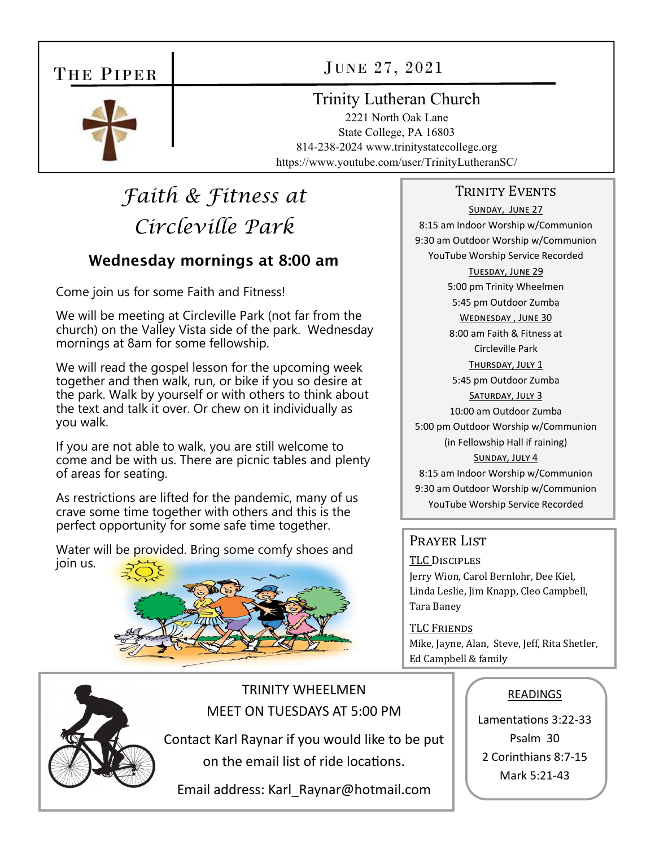### THE PIPER

#### JUNE 27, 2021

#### Trinity Lutheran Church

2221 North Oak Lane State College, PA 16803 814-238-2024 www.trinitystatecollege.org https://www.youtube.com/user/TrinityLutheranSC/

## *Faith & Fitness at Circleville Park*

#### Wednesday mornings at 8:00 am

Come join us for some Faith and Fitness!

We will be meeting at Circleville Park (not far from the church) on the Valley Vista side of the park. Wednesday mornings at 8am for some fellowship.

We will read the gospel lesson for the upcoming week together and then walk, run, or bike if you so desire at the park. Walk by yourself or with others to think about the text and talk it over. Or chew on it individually as you walk.

If you are not able to walk, you are still welcome to come and be with us. There are picnic tables and plenty of areas for seating.

As restrictions are lifted for the pandemic, many of us crave some time together with others and this is the perfect opportunity for some safe time together.

Water will be provided. Bring some comfy shoes and join us.





TRINITY WHEELMEN MEET ON TUESDAYS AT 5:00 PM

Contact Karl Raynar if you would like to be put on the email list of ride locations.

Email address: Karl\_Raynar@hotmail.com

#### TRINITY EVENTS

SUNDAY, JUNE 27 8:15 am Indoor Worship w/Communion 9:30 am Outdoor Worship w/Communion YouTube Worship Service Recorded TUESDAY, JUNE 29 5:00 pm Trinity Wheelmen 5:45 pm Outdoor Zumba WEDNESDAY, JUNE 30 8:00 am Faith & Fitness at Circleville Park THURSDAY, JULY 1 5:45 pm Outdoor Zumba SATURDAY, JULY 3 10:00 am Outdoor Zumba 5:00 pm Outdoor Worship w/Communion (in Fellowship Hall if raining) SUNDAY, JULY 4 8:15 am Indoor Worship w/Communion 9:30 am Outdoor Worship w/Communion YouTube Worship Service Recorded

#### PRAYER LIST

#### TLC DISCIPLES

Jerry Wion, Carol Bernlohr, Dee Kiel, Linda Leslie, Jim Knapp, Cleo Campbell, Tara Baney

TLC FRIENDS Mike, Jayne, Alan, Steve, Jeff, Rita Shetler, Ed Campbell & family

#### READINGS

Lamentations 3:22-33 Psalm 30 2 Corinthians 8:7‐15 Mark 5:21‐43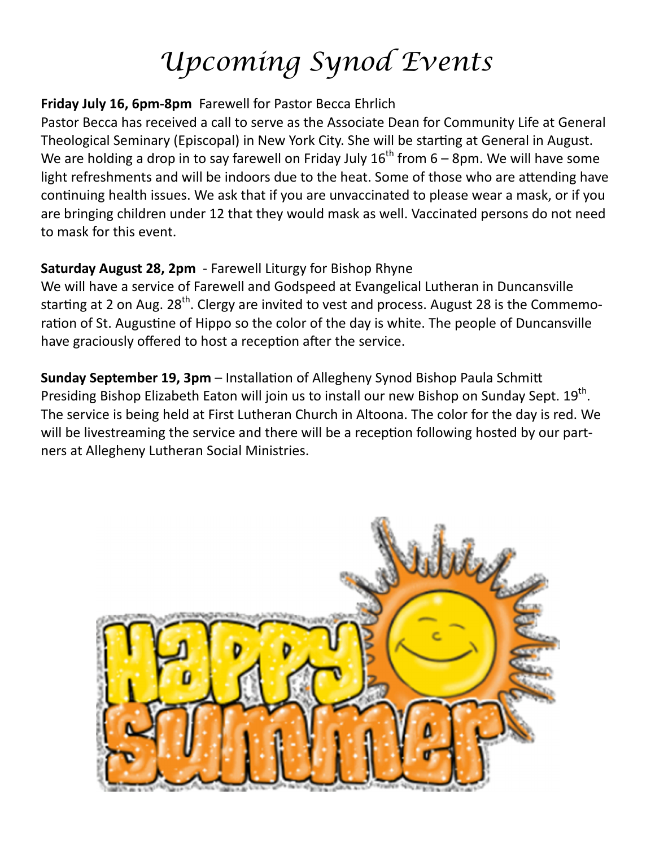# *Upcoming Synod Events*

#### **Friday July 16, 6pm‐8pm** Farewell for Pastor Becca Ehrlich

Pastor Becca has received a call to serve as the Associate Dean for Community Life at General Theological Seminary (Episcopal) in New York City. She will be starting at General in August. We are holding a drop in to say farewell on Friday July  $16^{th}$  from 6 – 8pm. We will have some light refreshments and will be indoors due to the heat. Some of those who are attending have continuing health issues. We ask that if you are unvaccinated to please wear a mask, or if you are bringing children under 12 that they would mask as well. Vaccinated persons do not need to mask for this event.

#### **Saturday August 28, 2pm** ‐ Farewell Liturgy for Bishop Rhyne

We will have a service of Farewell and Godspeed at Evangelical Lutheran in Duncansville starting at 2 on Aug.  $28<sup>th</sup>$ . Clergy are invited to vest and process. August 28 is the Commemoration of St. Augustine of Hippo so the color of the day is white. The people of Duncansville have graciously offered to host a reception after the service.

**Sunday September 19, 3pm** – Installation of Allegheny Synod Bishop Paula Schmitt Presiding Bishop Elizabeth Eaton will join us to install our new Bishop on Sunday Sept. 19<sup>th</sup>. The service is being held at First Lutheran Church in Altoona. The color for the day is red. We will be livestreaming the service and there will be a reception following hosted by our partners at Allegheny Lutheran Social Ministries.